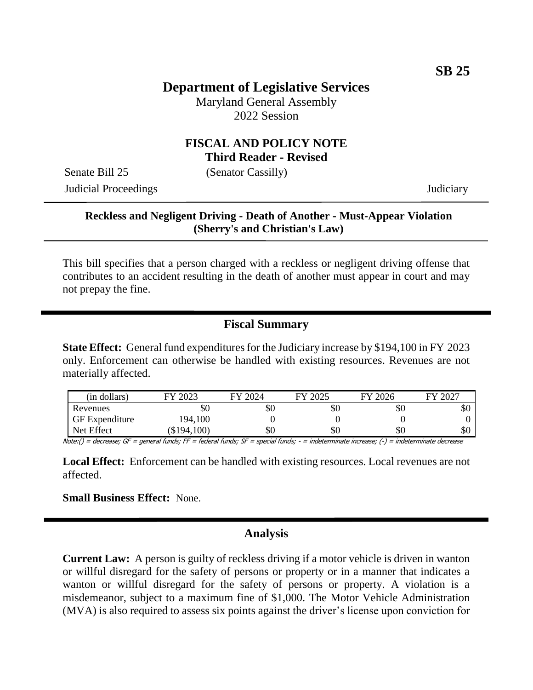## **Department of Legislative Services**

Maryland General Assembly 2022 Session

#### **FISCAL AND POLICY NOTE Third Reader - Revised**

Senate Bill 25 (Senator Cassilly)

Judicial Proceedings Judiciary

#### **Reckless and Negligent Driving - Death of Another - Must-Appear Violation (Sherry's and Christian's Law)**

This bill specifies that a person charged with a reckless or negligent driving offense that contributes to an accident resulting in the death of another must appear in court and may not prepay the fine.

## **Fiscal Summary**

**State Effect:** General fund expenditures for the Judiciary increase by \$194,100 in FY 2023 only. Enforcement can otherwise be handled with existing resources. Revenues are not materially affected.

| (in dollars)          | 2023<br>FУ | FY 2024 | 2025 | FY 2026 | FY 2027 |
|-----------------------|------------|---------|------|---------|---------|
| Revenues              | УU         | \$0     | \$0  | \$0     | υU      |
| <b>GF</b> Expenditure | 194,100    |         |      |         |         |
| Net Effect            | \$194,100  | \$0     | \$0  | \$0     | υU      |

Note:() = decrease; GF = general funds; FF = federal funds; SF = special funds; - = indeterminate increase; (-) = indeterminate decrease

Local Effect: Enforcement can be handled with existing resources. Local revenues are not affected.

**Small Business Effect:** None.

### **Analysis**

**Current Law:** A person is guilty of reckless driving if a motor vehicle is driven in wanton or willful disregard for the safety of persons or property or in a manner that indicates a wanton or willful disregard for the safety of persons or property. A violation is a misdemeanor, subject to a maximum fine of \$1,000. The Motor Vehicle Administration (MVA) is also required to assess six points against the driver's license upon conviction for